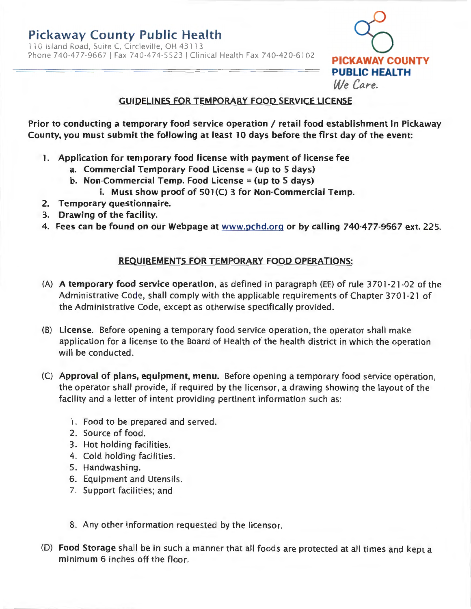110 Island Road, Suite C, Circleville, OH 4311 3 Phone 740-477-9667 I Fax 740-474-5523 I Clinical Health Fax 740-420-6102 **PICKAWAY COUNTY** 



### **GUIDELINES FOR TEMPORARY FOOD SERVICE LICENSE**

**Prior to conducting a temporary food service operation/ retail food establishment in Pickaway County, you must submit the following at least 10 days before the first day of the event:** 

- **1. Application for temporary food license with payment of license fee** 
	- **a. Commercial Temporary Food License** = **(up to** 5 **days)**
	- **b. Non-Commercial Temp. Food License** = **(up to 5 days)** 
		- i. Must show proof of 501(C) 3 for Non-Commercial Temp.
- **2. Temporary questionnaire.**
- **3. Drawing of the facility.**
- **4. Fees can be found on our Webpage at www.pchd.org or by calling 740-477-9667 ext. 225.**

#### **REQUIREMENTS FOR TEMPORARY FOOD OPERATIONS:**

- **(A) A temporary food service operation,** as defined in paragraph (EE) of rule 3701-21-02 of the Administrative Code, shall comply with the applicable requirements of Chapter 3701-21 of the Administrative Code, except as otherwise specifically provided.
- (B) **License.** Before opening a temporary food service operation, the operator shall make application for a license to the Board of Health of the health district in which the operation will be conducted.
- (C) **Approval of plans, equipment, menu.** Before opening a temporary food service operation, the operator shall provide, if required by the licensor, a drawing showing the layout of the facility and a letter of intent providing pertinent information such as:
	- 1. Food to be prepared and served.
	- 2. Source of food.
	- 3. Hot holding facilities .
	- 4. Cold holding facilities .
	- 5. Handwashing.
	- 6. Equipment and Utensils.
	- 7. Support facilities; and
	- 8. Any other information requested by the licensor.
- (D) **Food Storage** shall be in such a manner that all foods are protected at all times and kept a minimum 6 inches off the floor.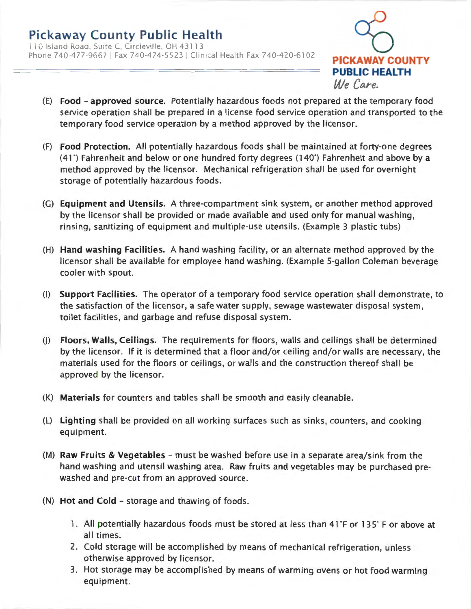### **Pickaway County Public Health**  110 Island Road, Suite C, Circleville, OH 43113 Phone 740-477-9667 I Fax 740-474-5523 I Clinical Health Fax 740-420-6102 **PICKAWAY COUNTY**



- (E) **Food - approved source.** Potentially hazardous foods not prepared at the temporary food service operation shall be prepared in a license food service operation and transported to the temporary food service operation by a method approved by the licensor.
- (F) **Food Protection.** All potentially hazardous foods shall be maintained at forty-one degrees (41 ") Fahrenheit and below or one hundred forty degrees (140") Fahrenheit and above by a method approved by the licensor. Mechanical refrigeration shall be used for overnight storage of potentially hazardous foods.
- (G) **Equipment and Utensils.** A three-compartment sink system, or another method approved by the licensor shall be provided or made available and used only for manual washing, rinsing, sanitizing of equipment and multiple-use utensils. (Example 3 plastic tubs)
- (H) **Hand washing Facilities.** A hand washing facility, or an alternate method approved by the licensor shall be available for employee hand washing. (Example 5-gallon Coleman beverage cooler with spout.
- (1) **Support Facilities.** The operator of a temporary food service operation shall demonstrate, to the satisfaction of the licensor, a safe water supply, sewage wastewater disposal system, toilet facilities, and garbage and refuse disposal system.
- U) **Floors, Walls, Ceilings.** The requirements for floors, walls and ceilings shall be determined by the licensor. If it is determined that a floor and/or ceiling and/or walls are necessary, the materials used for the floors or ceilings , or walls and the construction thereof shall be approved by the licensor.
- (K) **Materials** for counters and tables shall be smooth and easily cleanable.
- (L) **Lighting** shall be provided on all working surfaces such as sinks, counters, and cooking equipment.
- (M) **Raw Fruits & Vegetables**  must be washed before use in a separate area/sink from the hand washing and utensil washing area. Raw fruits and vegetables may be purchased prewashed and pre-cut from an approved source.
- (N) **Hot and Cold**  storage and thawing of foods .
	- 1. All potentially hazardous foods must be stored at less than 41 F or 135° F or above at all times.
	- 2. Cold storage will be accomplished by means of mechanical refrigeration, unless otherwise approved by licensor.
	- 3. Hot storage may be accomplished by means of warming ovens or hot food warming equipment.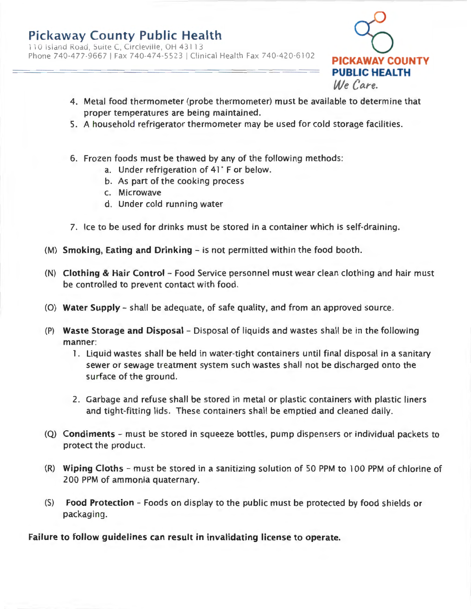110 Island Road, Suite C, Circleville, OH 43113 Phone 740-477-9667 I Fax 740-474-5523 I Clinical Health Fax 740-420-6102 **PICKAWAY COUNTY** 



- 4. Metal food thermometer (probe thermometer) must be available to determine that proper temperatures are being maintained.
- 5. A household refrigerator thermometer may be used for cold storage facilities.
- 6. Frozen foods must be thawed by any of the following methods :
	- a. Under refrigeration of 41' F or below.
	- b. As part of the cooking process
	- c. Microwave
	- d. Under cold running water
- 7. Ice to be used for drinks must be stored in a container which is self-draining.
- (M) **Smoking, Eating and Drinking**  is not permitted within the food booth.
- (N) **Clothing & Hair Control**  Food Service personnel must wear clean clothing and hair must be controlled to prevent contact with food.
- (0) **Water Supply**  shall be adequate, of safe quality, and from an approved source.
- (P) **Waste Storage and Disposal**  Disposal of liquids and wastes shall be in the following manner:
	- 1. Liquid wastes shall be held in water-tight containers until final disposal in a sanitary sewer or sewage treatment system such wastes shall not be discharged onto the surface of the ground.
	- 2. Garbage and refuse shall be stored in metal or plastic containers with plastic liners and tight-fitting lids. These containers shall be emptied and cleaned daily.
- (Q) **Condiments**  must be stored in squeeze bottles, pump dispensers or individual packets to protect the product.
- (R) **Wiping Cloths**  must be stored in a sanitizing solution of 50 PPM to 100 PPM of chlorine of 200 PPM of ammonia quaternary.
- (S) **Food Protection** Foods on display to the public must be protected by food shields or packaging.

**Failure to follow guidelines can result in invalidating license to operate.**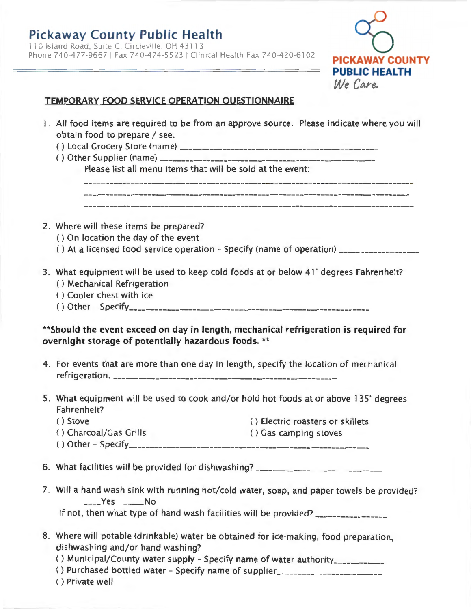

### **TEMPORARY FOOD SERVICE OPERATION UESTIONNAIRE**

l. All food items are required to be from an approve source. Please indicate where you will obtain food to prepare / see.  $( )$  Local Grocery Store (name)  $\overline{ }$   $\overline{ }$   $\overline{ }$   $\overline{ }$  =  $\overline{ }$  =  $\overline{ }$  =  $\overline{ }$  =  $\overline{ }$  =  $\overline{ }$  =  $\overline{ }$  =  $\overline{ }$  =  $\overline{ }$  =  $\overline{ }$  =  $\overline{ }$  =  $\overline{ }$  =  $\overline{ }$  =  $\overline{ }$  =  $\overline{ }$  =  $\overline{ }$  =  $\overline{$ ( ) Other Supplier (name) --------------------------------------------------- Please list all menu items that will be sold at the event: 2. Where will these items be prepared? ( ) On location the day of the event () At a licensed food service operation - Specify (name of operation)  $\frac{1}{2}$ 3. What equipment will be used to keep cold foods at or below 41° degrees Fahrenheit? () Mechanical Refrigeration ( ) Cooler chest with ice () Other - Specify \_\_\_\_\_\_\_\_\_\_\_\_\_\_\_\_\_\_\_\_\_\_\_\_\_\_\_\_\_\_\_\_\_\_\_\_\_\_\_\_\_\_\_\_\_\_\_\_\_\_\_\_\_\_\_\_ \_ **\*\*Should the event exceed on day in length, mechanical refrigeration is required for overnight storage of potentially hazardous foods.** \*\* 4. For events that are more than one day in length, specify the location of mechanical ref rig e ration . ----------------------------------------------------- 5. What equipment will be used to cook and/or hold hot foods at or above 135· degrees Fahrenheit? () Stove () Electric roasters or skillets () Charcoal/Gas Grills () Gas camping stoves ( ) Other - Specify--------------------------------------------------------- 6. What facilities will be provided for dishwashing? \_\_\_\_\_\_\_\_\_\_\_\_\_\_\_\_\_\_\_\_\_\_\_\_\_\_\_ 7. Will a hand wash sink with running hot/ cold water, soap, and paper towels be provided? Yes No If not, then what type of hand wash facilities will be provided? 8. Where will potable (drinkable) water be obtained for ice-making, food preparation, dishwashing and/or hand washing? () Municipal/County water supply - Specify name of water authority\_\_\_\_\_\_\_\_\_\_\_\_ () Purchased bottled water - Specify name of supplier\_\_\_\_\_\_\_\_\_\_\_\_\_\_\_\_\_\_\_\_\_\_\_\_\_\_\_ ( ) Private well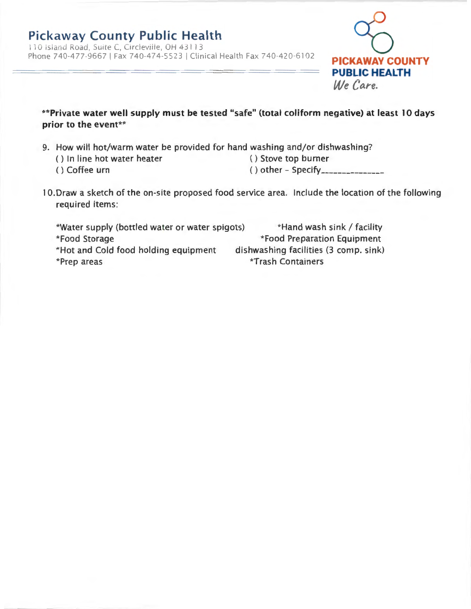110 Island Road, Suite C, Circleville, OH 43113 Phone 740-477-9667 I Fax 740-474-5523 I Clinical Health Fax 740-420-6102 **PICKAWAY COUNTY** 



**\*\*Private water well supply must be tested "safe" (total coliform negative) at least 10 days prior to the event\*\*** 

- 9. How will hot/warm water be provided for hand washing and/or dishwashing?
	- () In line hot water heater () Stove top burner
	-

- () Coffee urn () other Specify \_\_\_\_\_\_\_\_\_\_\_\_\_\_ \_
- 10. Draw a sketch of the on-site proposed food service area. Include the location of the following required items :

\*Water supply (bottled water or water spigots) \*Hand wash sink/ facility \*Food Preparation Equipment dishwashing facilities (3 comp. sink) \*Food Storage \*Hot and Cold food holding equipment \*Prep areas \*Trash Containers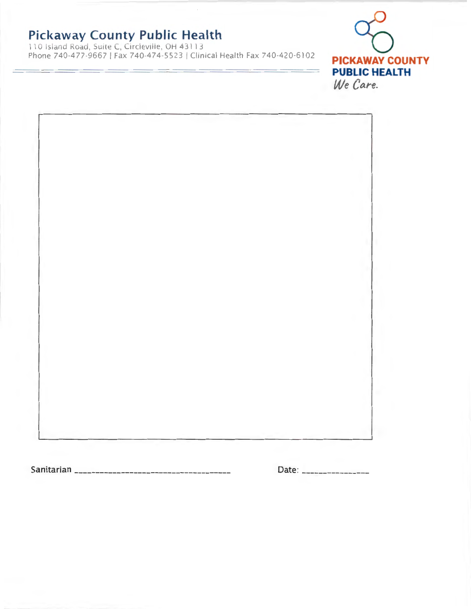110 Island Road, Suite C, Circleville, OH 43113 Phone 740-477-9667 I Fax 740-474-5523 I Clinical Health Fax 740-420-6102 **PICKAWAY COUNTY** 



Sanitarian ------------------------------------- Date· \_\_\_\_\_\_\_\_\_\_\_\_\_\_\_ \_